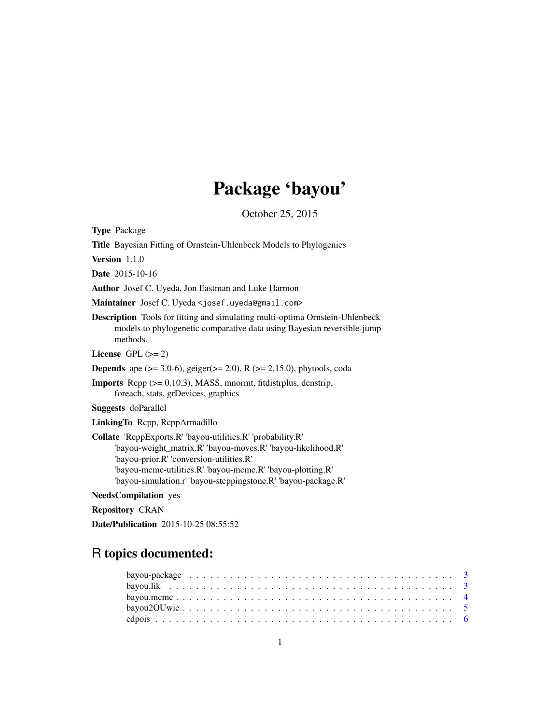# Package 'bayou'

October 25, 2015

Type Package Title Bayesian Fitting of Ornstein-Uhlenbeck Models to Phylogenies Version 1.1.0 Date 2015-10-16 Author Josef C. Uyeda, Jon Eastman and Luke Harmon Maintainer Josef C. Uyeda <josef.uyeda@gmail.com> Description Tools for fitting and simulating multi-optima Ornstein-Uhlenbeck models to phylogenetic comparative data using Bayesian reversible-jump methods. License GPL  $(>= 2)$ **Depends** ape ( $>= 3.0-6$ ), geiger( $>= 2.0$ ), R ( $>= 2.15.0$ ), phytools, coda Imports Rcpp (>= 0.10.3), MASS, mnormt, fitdistrplus, denstrip, foreach, stats, grDevices, graphics Suggests doParallel LinkingTo Rcpp, RcppArmadillo Collate 'RcppExports.R' 'bayou-utilities.R' 'probability.R' 'bayou-weight\_matrix.R' 'bayou-moves.R' 'bayou-likelihood.R' 'bayou-prior.R' 'conversion-utilities.R' 'bayou-mcmc-utilities.R' 'bayou-mcmc.R' 'bayou-plotting.R' 'bayou-simulation.r' 'bayou-steppingstone.R' 'bayou-package.R' NeedsCompilation yes

Repository CRAN

Date/Publication 2015-10-25 08:55:52

# R topics documented: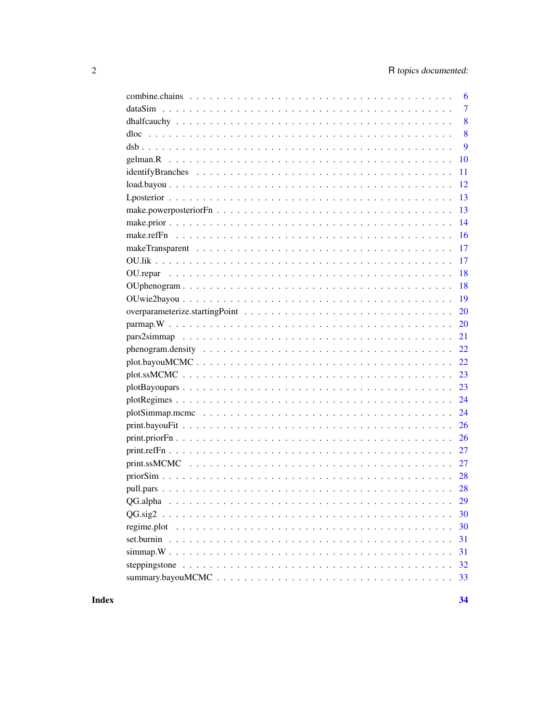| 6              |
|----------------|
| $\overline{7}$ |
| 8              |
| 8              |
| 9              |
| 10             |
| 11             |
| 12             |
| 13             |
| 13             |
| 14             |
| 16             |
| 17             |
| 17             |
| 18             |
| 18             |
| 19             |
| 20             |
| 20             |
| 21             |
| 22             |
| 22             |
| 23             |
| 23             |
| 24             |
| 24             |
| 26             |
| 26             |
| 27             |
| 27             |
| 28             |
|                |
| 29             |
| 30             |
| 30             |
| 31             |
| 31             |
| 32             |
| 33             |

**Index**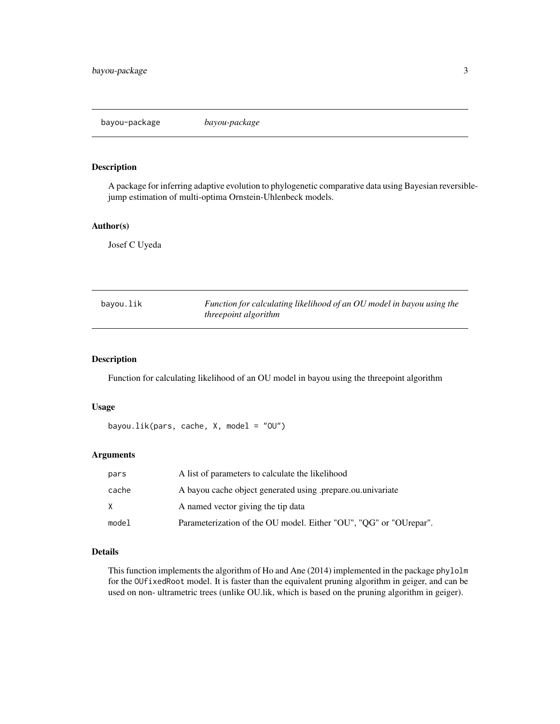<span id="page-2-0"></span>A package for inferring adaptive evolution to phylogenetic comparative data using Bayesian reversiblejump estimation of multi-optima Ornstein-Uhlenbeck models.

#### Author(s)

Josef C Uyeda

| bayou.lik | Function for calculating likelihood of an OU model in bayou using the |
|-----------|-----------------------------------------------------------------------|
|           | <i>threepoint algorithm</i>                                           |

# Description

Function for calculating likelihood of an OU model in bayou using the threepoint algorithm

# Usage

```
bayou.lik(pars, cache, X, model = "OU")
```
### Arguments

| pars  | A list of parameters to calculate the likelihood                  |
|-------|-------------------------------------------------------------------|
| cache | A bayou cache object generated using prepare ou univariate        |
| X.    | A named vector giving the tip data                                |
| model | Parameterization of the OU model. Either "OU", "OG" or "OUrepar". |

# Details

This function implements the algorithm of Ho and Ane (2014) implemented in the package phylolm for the OUfixedRoot model. It is faster than the equivalent pruning algorithm in geiger, and can be used on non- ultrametric trees (unlike OU.lik, which is based on the pruning algorithm in geiger).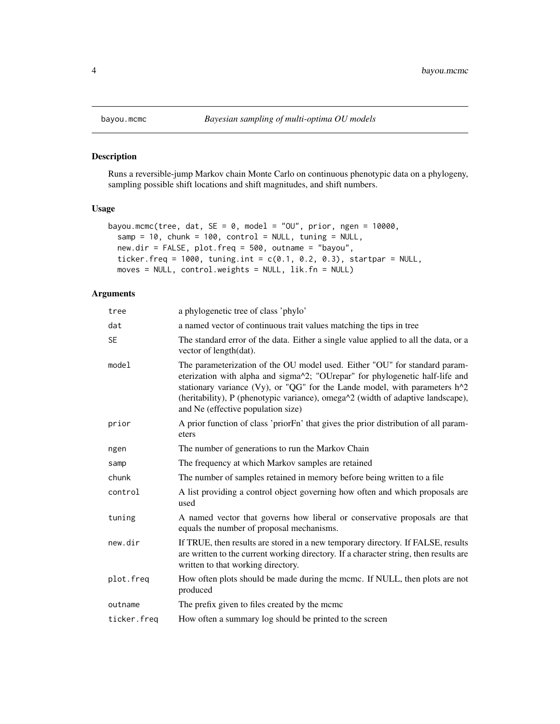Runs a reversible-jump Markov chain Monte Carlo on continuous phenotypic data on a phylogeny, sampling possible shift locations and shift magnitudes, and shift numbers.

# Usage

```
bayou.mcmc(tree, dat, SE = 0, model = "OU", prior, ngen = 10000,
  samp = 10, chunk = 100, control = NULL, tuning = NULL,
 new.dir = FALSE, plot.freq = 500, outname = "bayou",
  ticker.freq = 1000, tuning.int = c(0.1, 0.2, 0.3), startpar = NULL,
 moves = NULL, control.weights = NULL, lik.fn = NULL)
```

| tree        | a phylogenetic tree of class 'phylo'                                                                                                                                                                                                                                                                                                                              |
|-------------|-------------------------------------------------------------------------------------------------------------------------------------------------------------------------------------------------------------------------------------------------------------------------------------------------------------------------------------------------------------------|
| dat         | a named vector of continuous trait values matching the tips in tree                                                                                                                                                                                                                                                                                               |
| <b>SE</b>   | The standard error of the data. Either a single value applied to all the data, or a<br>vector of length(dat).                                                                                                                                                                                                                                                     |
| model       | The parameterization of the OU model used. Either "OU" for standard param-<br>eterization with alpha and sigma^2; "OUrepar" for phylogenetic half-life and<br>stationary variance (Vy), or "QG" for the Lande model, with parameters h^2<br>(heritability), P (phenotypic variance), omega^2 (width of adaptive landscape),<br>and Ne (effective population size) |
| prior       | A prior function of class 'priorFn' that gives the prior distribution of all param-<br>eters                                                                                                                                                                                                                                                                      |
| ngen        | The number of generations to run the Markov Chain                                                                                                                                                                                                                                                                                                                 |
| samp        | The frequency at which Markov samples are retained                                                                                                                                                                                                                                                                                                                |
| chunk       | The number of samples retained in memory before being written to a file                                                                                                                                                                                                                                                                                           |
| control     | A list providing a control object governing how often and which proposals are<br>used                                                                                                                                                                                                                                                                             |
| tuning      | A named vector that governs how liberal or conservative proposals are that<br>equals the number of proposal mechanisms.                                                                                                                                                                                                                                           |
| new.dir     | If TRUE, then results are stored in a new temporary directory. If FALSE, results<br>are written to the current working directory. If a character string, then results are<br>written to that working directory.                                                                                                                                                   |
| plot.freq   | How often plots should be made during the mcmc. If NULL, then plots are not<br>produced                                                                                                                                                                                                                                                                           |
| outname     | The prefix given to files created by the mcmc                                                                                                                                                                                                                                                                                                                     |
| ticker.freq | How often a summary log should be printed to the screen                                                                                                                                                                                                                                                                                                           |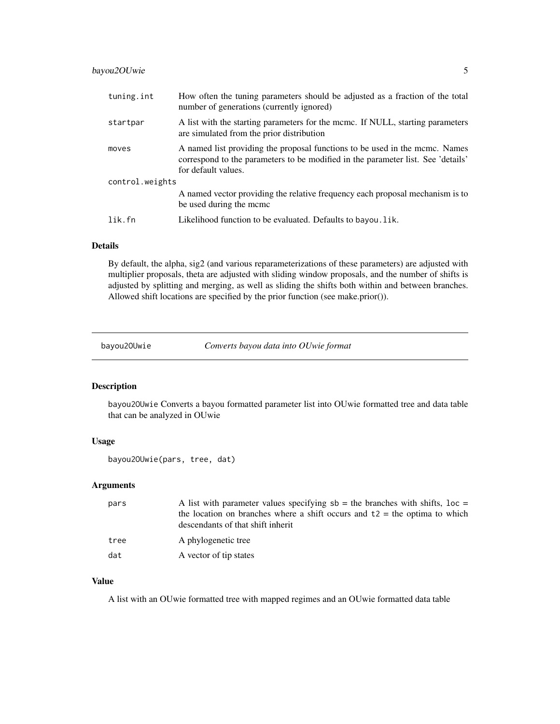<span id="page-4-0"></span>

| tuning.int      | How often the tuning parameters should be adjusted as a fraction of the total<br>number of generations (currently ignored)                                                             |  |  |  |
|-----------------|----------------------------------------------------------------------------------------------------------------------------------------------------------------------------------------|--|--|--|
| startpar        | A list with the starting parameters for the mcmc. If NULL, starting parameters<br>are simulated from the prior distribution                                                            |  |  |  |
| moves           | A named list providing the proposal functions to be used in the mcmc. Names<br>correspond to the parameters to be modified in the parameter list. See 'details'<br>for default values. |  |  |  |
| control.weights |                                                                                                                                                                                        |  |  |  |
|                 | A named vector providing the relative frequency each proposal mechanism is to<br>be used during the mcmc                                                                               |  |  |  |
| lik.fn          | Likelihood function to be evaluated. Defaults to bayou. lik.                                                                                                                           |  |  |  |

# Details

By default, the alpha, sig2 (and various reparameterizations of these parameters) are adjusted with multiplier proposals, theta are adjusted with sliding window proposals, and the number of shifts is adjusted by splitting and merging, as well as sliding the shifts both within and between branches. Allowed shift locations are specified by the prior function (see make.prior()).

bayou2OUwie *Converts bayou data into OUwie format*

# Description

bayou2OUwie Converts a bayou formatted parameter list into OUwie formatted tree and data table that can be analyzed in OUwie

#### Usage

```
bayou2OUwie(pars, tree, dat)
```
#### Arguments

| pars | A list with parameter values specifying $sb = the$ branches with shifts, $loc =$<br>the location on branches where a shift occurs and $t2 =$ the optima to which<br>descendants of that shift inherit |
|------|-------------------------------------------------------------------------------------------------------------------------------------------------------------------------------------------------------|
| tree | A phylogenetic tree                                                                                                                                                                                   |
| dat  | A vector of tip states                                                                                                                                                                                |

#### Value

A list with an OUwie formatted tree with mapped regimes and an OUwie formatted data table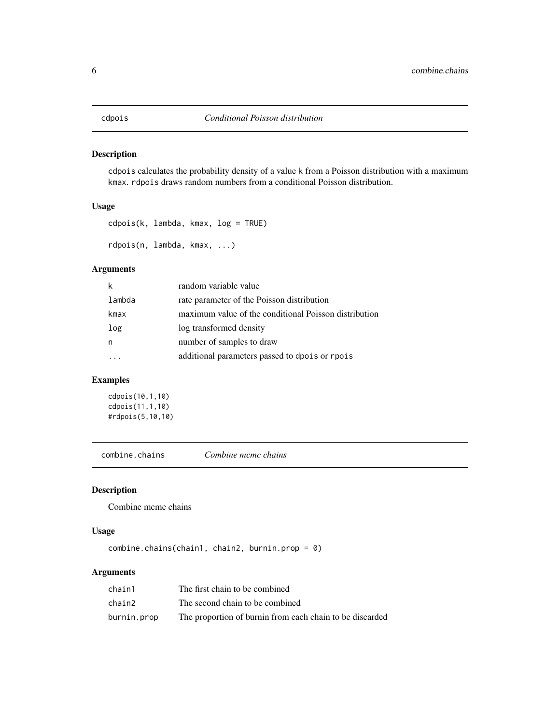<span id="page-5-0"></span>cdpois calculates the probability density of a value k from a Poisson distribution with a maximum kmax. rdpois draws random numbers from a conditional Poisson distribution.

# Usage

```
cdpois(k, lambda, kmax, log = TRUE)
rdpois(n, lambda, kmax, ...)
```
# Arguments

| k      | random variable value                                 |
|--------|-------------------------------------------------------|
| lambda | rate parameter of the Poisson distribution            |
| kmax   | maximum value of the conditional Poisson distribution |
| log    | log transformed density                               |
| n      | number of samples to draw                             |
|        | additional parameters passed to dpois or rpois        |
|        |                                                       |

# Examples

cdpois(10,1,10) cdpois(11,1,10) #rdpois(5,10,10)

combine.chains *Combine mcmc chains*

# Description

Combine mcmc chains

#### Usage

combine.chains(chain1, chain2, burnin.prop = 0)

| chain1      | The first chain to be combined                           |
|-------------|----------------------------------------------------------|
| chain2      | The second chain to be combined                          |
| burnin.prop | The proportion of burnin from each chain to be discarded |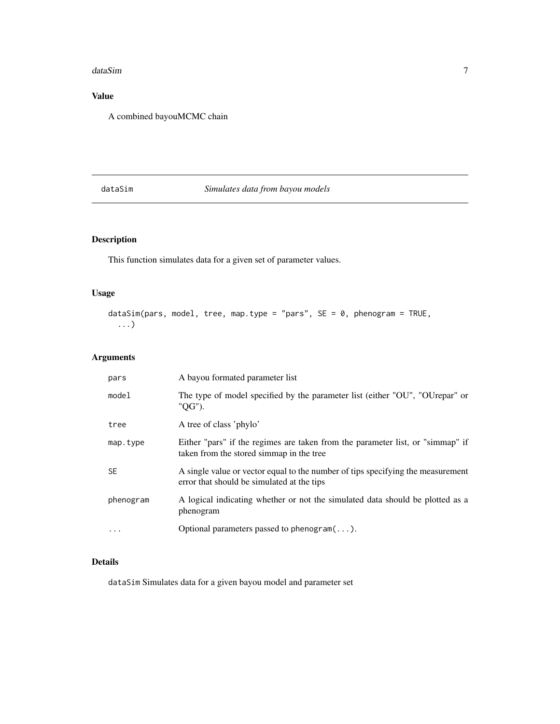#### <span id="page-6-0"></span>dataSim 7

# Value

A combined bayouMCMC chain

# dataSim *Simulates data from bayou models*

# Description

This function simulates data for a given set of parameter values.

# Usage

```
dataSim(pars, model, tree, map.type = "pars", SE = 0, phenogram = TRUE,
  ...)
```
# Arguments

| pars      | A bayou formated parameter list                                                                                               |
|-----------|-------------------------------------------------------------------------------------------------------------------------------|
| model     | The type of model specified by the parameter list (either "OU", "OUrepar" or<br>"QG").                                        |
| tree      | A tree of class 'phylo'                                                                                                       |
| map.type  | Either "pars" if the regimes are taken from the parameter list, or "simmap" if<br>taken from the stored simmap in the tree    |
| <b>SE</b> | A single value or vector equal to the number of tips specifying the measurement<br>error that should be simulated at the tips |
| phenogram | A logical indicating whether or not the simulated data should be plotted as a<br>phenogram                                    |
| $\cdot$   | Optional parameters passed to phenogram $(\dots)$ .                                                                           |

# Details

dataSim Simulates data for a given bayou model and parameter set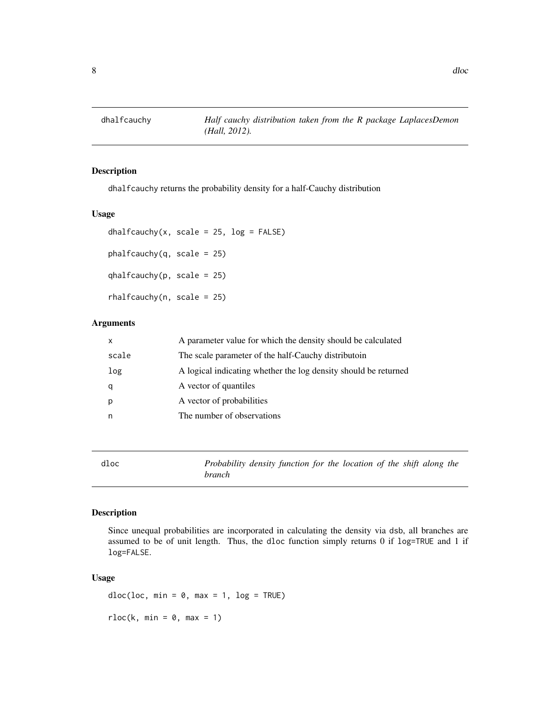<span id="page-7-0"></span>dhalfcauchy returns the probability density for a half-Cauchy distribution

#### Usage

```
dhalfcauchy(x, scale = 25, log = FALSE)
phalfcauchy(q, scale = 25)qhalfcauchy(p, scale = 25)rhalfcauchy(n, scale = 25)
```
# Arguments

| $\mathsf{x}$ | A parameter value for which the density should be calculated    |
|--------------|-----------------------------------------------------------------|
| scale        | The scale parameter of the half-Cauchy distributoin             |
| log          | A logical indicating whether the log density should be returned |
| q            | A vector of quantiles                                           |
| p            | A vector of probabilities                                       |
| n            | The number of observations                                      |

dloc *Probability density function for the location of the shift along the branch*

# Description

Since unequal probabilities are incorporated in calculating the density via dsb, all branches are assumed to be of unit length. Thus, the dloc function simply returns 0 if log=TRUE and 1 if log=FALSE.

# Usage

 $dloc(loc, min = 0, max = 1, log = TRUE)$  $rloc(k, min = 0, max = 1)$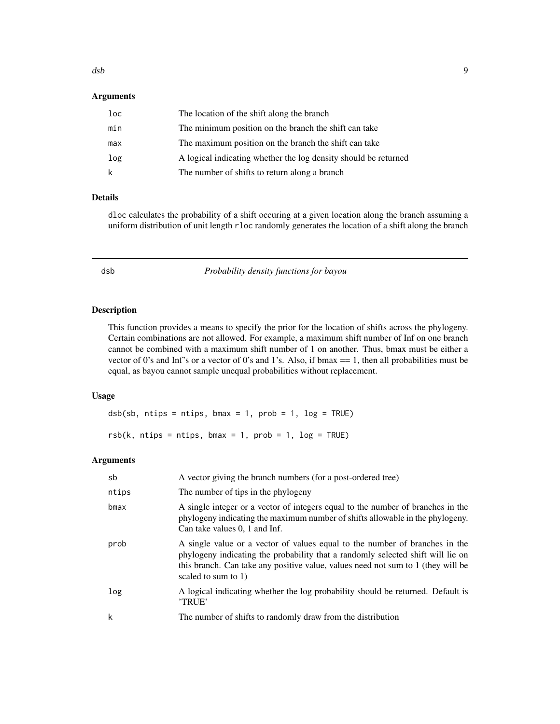#### <span id="page-8-0"></span>Arguments

| loc | The location of the shift along the branch                      |
|-----|-----------------------------------------------------------------|
| min | The minimum position on the branch the shift can take           |
| max | The maximum position on the branch the shift can take           |
| log | A logical indicating whether the log density should be returned |
| k   | The number of shifts to return along a branch                   |

# Details

dloc calculates the probability of a shift occuring at a given location along the branch assuming a uniform distribution of unit length rloc randomly generates the location of a shift along the branch

dsb *Probability density functions for bayou*

#### Description

This function provides a means to specify the prior for the location of shifts across the phylogeny. Certain combinations are not allowed. For example, a maximum shift number of Inf on one branch cannot be combined with a maximum shift number of 1 on another. Thus, bmax must be either a vector of 0's and Inf's or a vector of 0's and 1's. Also, if bmax == 1, then all probabilities must be equal, as bayou cannot sample unequal probabilities without replacement.

#### Usage

 $dsb(sb, n tips = n tips, bmax = 1, prob = 1, log = TRUE)$  $rsb(k, n tips = n tips, bmax = 1, prob = 1, log = TRUE)$ 

| sb    | A vector giving the branch numbers (for a post-ordered tree)                                                                                                                                                                                                                 |
|-------|------------------------------------------------------------------------------------------------------------------------------------------------------------------------------------------------------------------------------------------------------------------------------|
| ntips | The number of tips in the phylogeny                                                                                                                                                                                                                                          |
| bmax  | A single integer or a vector of integers equal to the number of branches in the<br>phylogeny indicating the maximum number of shifts allowable in the phylogeny.<br>Can take values 0, 1 and Inf.                                                                            |
| prob  | A single value or a vector of values equal to the number of branches in the<br>phylogeny indicating the probability that a randomly selected shift will lie on<br>this branch. Can take any positive value, values need not sum to 1 (they will be<br>scaled to sum to $1$ ) |
| log   | A logical indicating whether the log probability should be returned. Default is<br>'TRUE'                                                                                                                                                                                    |
| k     | The number of shifts to randomly draw from the distribution                                                                                                                                                                                                                  |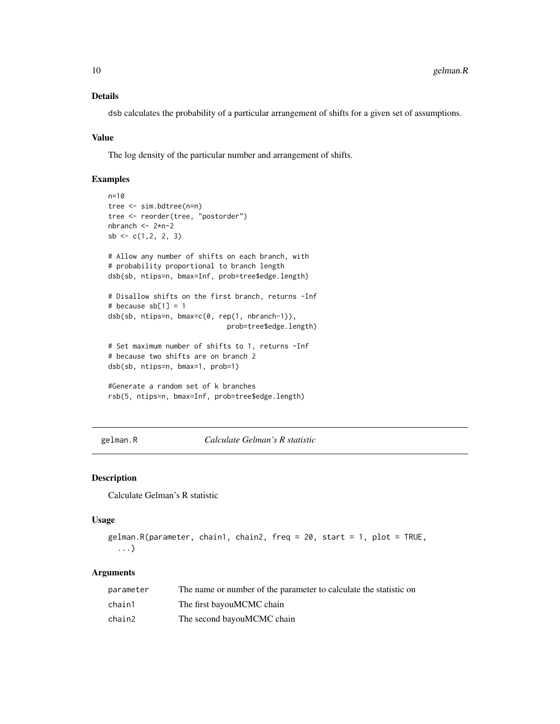# Details

dsb calculates the probability of a particular arrangement of shifts for a given set of assumptions.

#### Value

The log density of the particular number and arrangement of shifts.

#### Examples

```
n=10
tree <- sim.bdtree(n=n)
tree <- reorder(tree, "postorder")
nbranch <- 2*n-2
sb \leftarrow c(1, 2, 2, 3)# Allow any number of shifts on each branch, with
# probability proportional to branch length
dsb(sb, ntips=n, bmax=Inf, prob=tree$edge.length)
# Disallow shifts on the first branch, returns -Inf
# because sb[1] = 1dsb(sb, ntips=n, bmax=c(0, rep(1, nbranch-1)),
                             prob=tree$edge.length)
# Set maximum number of shifts to 1, returns -Inf
# because two shifts are on branch 2
dsb(sb, ntips=n, bmax=1, prob=1)
#Generate a random set of k branches
rsb(5, ntips=n, bmax=Inf, prob=tree$edge.length)
```
gelman.R *Calculate Gelman's R statistic*

#### Description

Calculate Gelman's R statistic

#### Usage

```
gelman.R(parameter, chain1, chain2, freq = 20, start = 1, plot = TRUE,
  ...)
```

| parameter | The name or number of the parameter to calculate the statistic on |
|-----------|-------------------------------------------------------------------|
| chain1    | The first bayouMCMC chain                                         |
| chain2    | The second bayouMCMC chain                                        |

<span id="page-9-0"></span>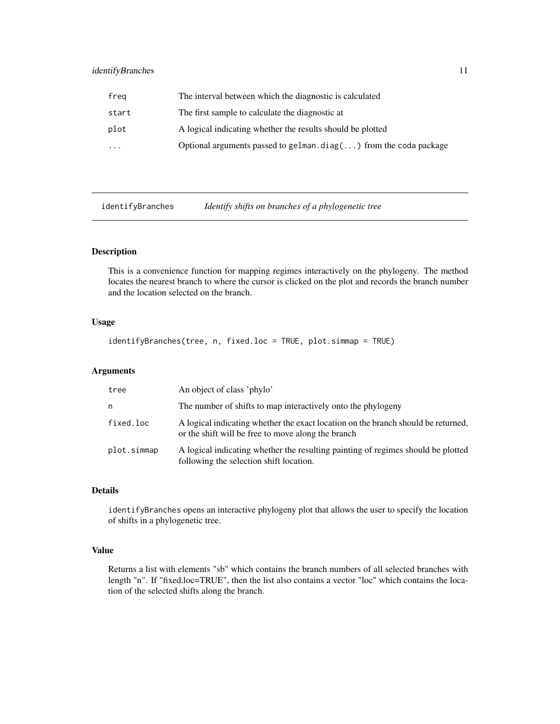# <span id="page-10-0"></span>identifyBranches 11

| freg      | The interval between which the diagnostic is calculated                   |
|-----------|---------------------------------------------------------------------------|
| start     | The first sample to calculate the diagnostic at                           |
| plot      | A logical indicating whether the results should be plotted                |
| $\ddotsc$ | Optional arguments passed to gelman.diag $(\ldots)$ from the coda package |

identifyBranches *Identify shifts on branches of a phylogenetic tree*

# Description

This is a convenience function for mapping regimes interactively on the phylogeny. The method locates the nearest branch to where the cursor is clicked on the plot and records the branch number and the location selected on the branch.

# Usage

```
identifyBranches(tree, n, fixed.loc = TRUE, plot.simmap = TRUE)
```
# Arguments

| tree        | An object of class 'phylo'                                                                                                              |
|-------------|-----------------------------------------------------------------------------------------------------------------------------------------|
| n           | The number of shifts to map interactively onto the phylogeny                                                                            |
| fixed.loc   | A logical indicating whether the exact location on the branch should be returned,<br>or the shift will be free to move along the branch |
| plot.simmap | A logical indicating whether the resulting painting of regimes should be plotted<br>following the selection shift location.             |

# Details

identifyBranches opens an interactive phylogeny plot that allows the user to specify the location of shifts in a phylogenetic tree.

# Value

Returns a list with elements "sb" which contains the branch numbers of all selected branches with length "n". If "fixed.loc=TRUE", then the list also contains a vector "loc" which contains the location of the selected shifts along the branch.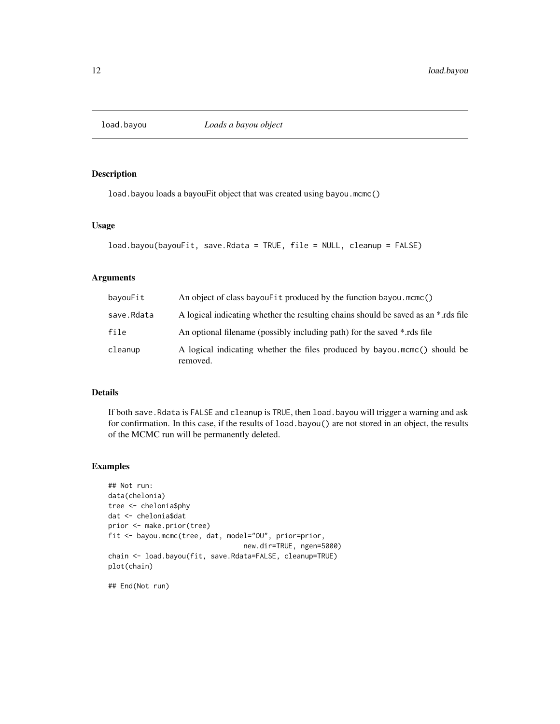<span id="page-11-0"></span>

load.bayou loads a bayouFit object that was created using bayou.mcmc()

# Usage

```
load.bayou(bayouFit, save.Rdata = TRUE, file = NULL, cleanup = FALSE)
```
# Arguments

| bayouFit   | An object of class bayou Fit produced by the function bayou.mcmc()                    |
|------------|---------------------------------------------------------------------------------------|
| save.Rdata | A logical indicating whether the resulting chains should be saved as an *.rds file    |
| file       | An optional filename (possibly including path) for the saved *.rds file               |
| cleanup    | A logical indicating whether the files produced by bayou mcmc() should be<br>removed. |

# Details

If both save.Rdata is FALSE and cleanup is TRUE, then load.bayou will trigger a warning and ask for confirmation. In this case, if the results of load.bayou() are not stored in an object, the results of the MCMC run will be permanently deleted.

# Examples

```
## Not run:
data(chelonia)
tree <- chelonia$phy
dat <- chelonia$dat
prior <- make.prior(tree)
fit <- bayou.mcmc(tree, dat, model="OU", prior=prior,
                                 new.dir=TRUE, ngen=5000)
chain <- load.bayou(fit, save.Rdata=FALSE, cleanup=TRUE)
plot(chain)
```
## End(Not run)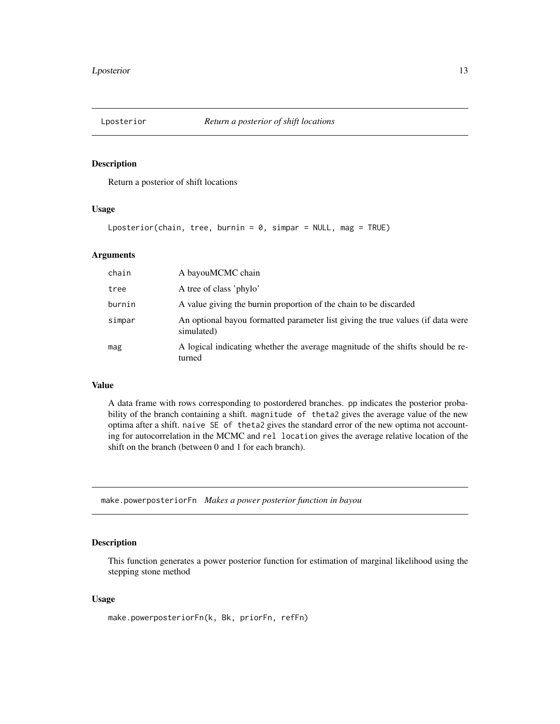<span id="page-12-0"></span>

Return a posterior of shift locations

# Usage

Lposterior(chain, tree, burnin =  $0$ , simpar = NULL, mag = TRUE)

#### Arguments

| chain  | A bayouMCMC chain                                                                             |
|--------|-----------------------------------------------------------------------------------------------|
| tree   | A tree of class 'phylo'                                                                       |
| burnin | A value giving the burnin proportion of the chain to be discarded                             |
| simpar | An optional bayou formatted parameter list giving the true values (if data were<br>simulated) |
| mag    | A logical indicating whether the average magnitude of the shifts should be re-<br>turned      |

# Value

A data frame with rows corresponding to postordered branches. pp indicates the posterior probability of the branch containing a shift. magnitude of theta2 gives the average value of the new optima after a shift. naive SE of theta2 gives the standard error of the new optima not accounting for autocorrelation in the MCMC and rel location gives the average relative location of the shift on the branch (between 0 and 1 for each branch).

make.powerposteriorFn *Makes a power posterior function in bayou*

#### Description

This function generates a power posterior function for estimation of marginal likelihood using the stepping stone method

# Usage

make.powerposteriorFn(k, Bk, priorFn, refFn)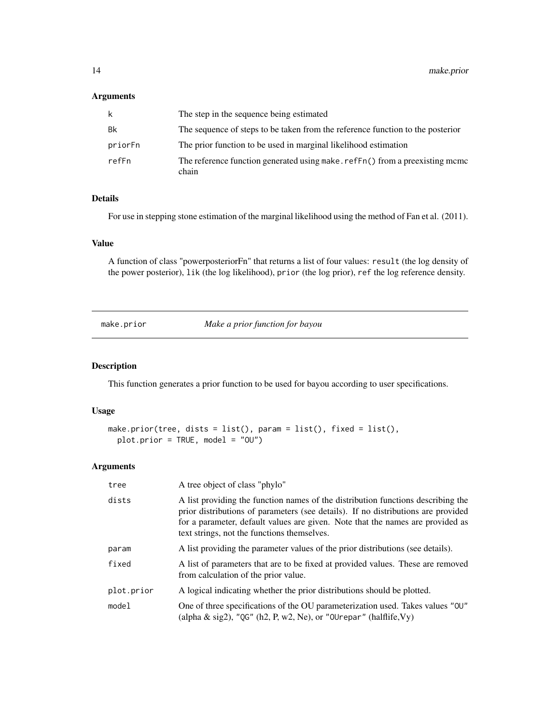### <span id="page-13-0"></span>Arguments

| k       | The step in the sequence being estimated                                             |
|---------|--------------------------------------------------------------------------------------|
| Bk      | The sequence of steps to be taken from the reference function to the posterior       |
| priorFn | The prior function to be used in marginal likelihood estimation                      |
| refFn   | The reference function generated using make.reffn() from a preexisting mcmc<br>chain |

# Details

For use in stepping stone estimation of the marginal likelihood using the method of Fan et al. (2011).

#### Value

A function of class "powerposteriorFn" that returns a list of four values: result (the log density of the power posterior), lik (the log likelihood), prior (the log prior), ref the log reference density.

make.prior *Make a prior function for bayou*

#### Description

This function generates a prior function to be used for bayou according to user specifications.

#### Usage

```
make.prior(tree, dists = list(), param = list(), fixed = list(),
 plot.prior = TRUE, model = "OU")
```

| tree       | A tree object of class "phylo"                                                                                                                                                                                                                                                                         |  |
|------------|--------------------------------------------------------------------------------------------------------------------------------------------------------------------------------------------------------------------------------------------------------------------------------------------------------|--|
| dists      | A list providing the function names of the distribution functions describing the<br>prior distributions of parameters (see details). If no distributions are provided<br>for a parameter, default values are given. Note that the names are provided as<br>text strings, not the functions themselves. |  |
| param      | A list providing the parameter values of the prior distributions (see details).                                                                                                                                                                                                                        |  |
| fixed      | A list of parameters that are to be fixed at provided values. These are removed<br>from calculation of the prior value.                                                                                                                                                                                |  |
| plot.prior | A logical indicating whether the prior distributions should be plotted.                                                                                                                                                                                                                                |  |
| model      | One of three specifications of the OU parameterization used. Takes values "OU"<br>(alpha $\&$ sig2), "QG" (h2, P, w2, Ne), or "OUrepar" (halflife, $V_y$ )                                                                                                                                             |  |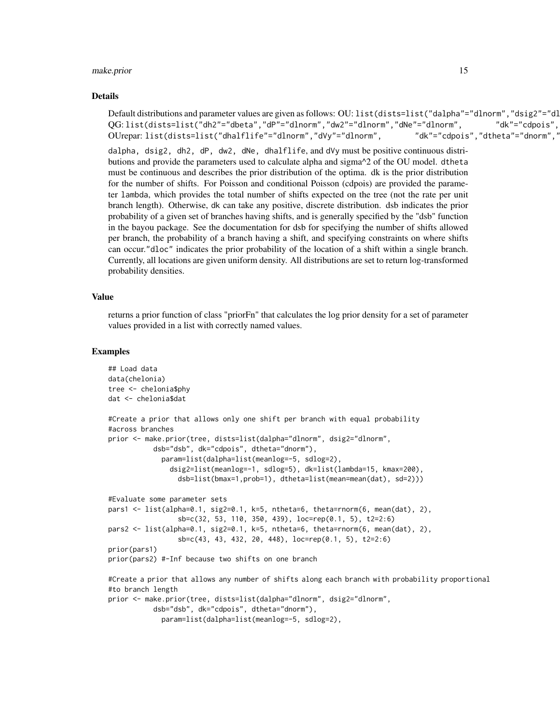#### make.prior 15

#### Details

Default distributions and parameter values are given as follows: OU: list(dists=list("dalpha"="dlnorm","dsig2"="dl ,"QG:list(dists=list("dh2"="dbeta","dP"="dlnorm","dw2"="dlnorm","dNe"="dlnorm", "ak"="cdpois" ", "OUrepar: list(dists=list("dhalflife"="dlnorm","dVy"="dlnorm", "ak"="cdpois","dtheta"="dnorm",

dalpha, dsig2, dh2, dP, dw2, dNe, dhalflife, and dVy must be positive continuous distributions and provide the parameters used to calculate alpha and sigma^2 of the OU model. dtheta must be continuous and describes the prior distribution of the optima. dk is the prior distribution for the number of shifts. For Poisson and conditional Poisson (cdpois) are provided the parameter lambda, which provides the total number of shifts expected on the tree (not the rate per unit branch length). Otherwise, dk can take any positive, discrete distribution. dsb indicates the prior probability of a given set of branches having shifts, and is generally specified by the "dsb" function in the bayou package. See the documentation for dsb for specifying the number of shifts allowed per branch, the probability of a branch having a shift, and specifying constraints on where shifts can occur."dloc" indicates the prior probability of the location of a shift within a single branch. Currently, all locations are given uniform density. All distributions are set to return log-transformed probability densities.

# Value

returns a prior function of class "priorFn" that calculates the log prior density for a set of parameter values provided in a list with correctly named values.

#### Examples

```
## Load data
data(chelonia)
tree <- chelonia$phy
dat <- chelonia$dat
#Create a prior that allows only one shift per branch with equal probability
#across branches
prior <- make.prior(tree, dists=list(dalpha="dlnorm", dsig2="dlnorm",
           dsb="dsb", dk="cdpois", dtheta="dnorm"),
             param=list(dalpha=list(meanlog=-5, sdlog=2),
               dsig2=list(meanlog=-1, sdlog=5), dk=list(lambda=15, kmax=200),
                 dsb=list(bmax=1,prob=1), dtheta=list(mean=mean(dat), sd=2)))
#Evaluate some parameter sets
pars1 \le list(alpha=0.1, sig2=0.1, k=5, ntheta=6, theta=rnorm(6, mean(dat), 2),
                 sb=c(32, 53, 110, 350, 439), loc=rep(0.1, 5), t2=2:6)
pars2 <- list(alpha=0.1, sig2=0.1, k=5, ntheta=6, theta=rnorm(6, mean(dat), 2),
                 sb=c(43, 43, 432, 20, 448), loc=rep(0.1, 5), t2=2:6)
prior(pars1)
prior(pars2) #-Inf because two shifts on one branch
#Create a prior that allows any number of shifts along each branch with probability proportional
#to branch length
prior <- make.prior(tree, dists=list(dalpha="dlnorm", dsig2="dlnorm",
           dsb="dsb", dk="cdpois", dtheta="dnorm"),
             param=list(dalpha=list(meanlog=-5, sdlog=2),
```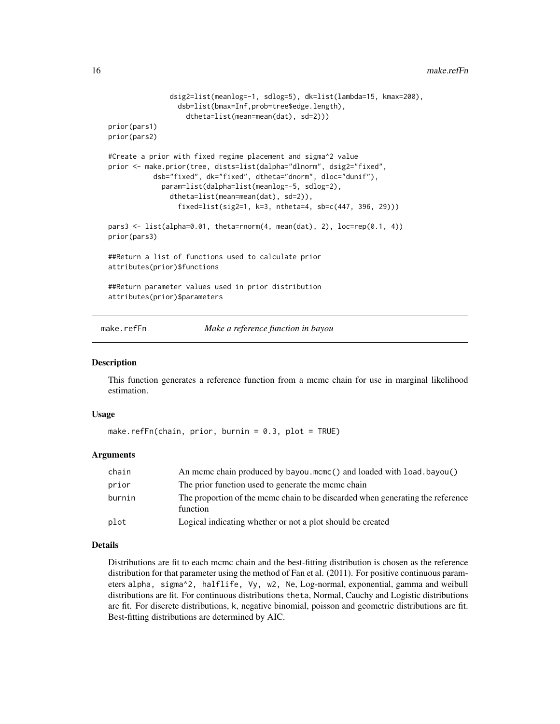```
dsig2=list(meanlog=-1, sdlog=5), dk=list(lambda=15, kmax=200),
                 dsb=list(bmax=Inf,prob=tree$edge.length),
                   dtheta=list(mean=mean(dat), sd=2)))
prior(pars1)
prior(pars2)
#Create a prior with fixed regime placement and sigma^2 value
prior <- make.prior(tree, dists=list(dalpha="dlnorm", dsig2="fixed",
           dsb="fixed", dk="fixed", dtheta="dnorm", dloc="dunif"),
             param=list(dalpha=list(meanlog=-5, sdlog=2),
               dtheta=list(mean=mean(dat), sd=2)),
                 fixed=list(sig2=1, k=3, ntheta=4, sb=c(447, 396, 29)))
pars3 <- list(alpha=0.01, theta=rnorm(4, mean(dat), 2), loc=rep(0.1, 4))
prior(pars3)
##Return a list of functions used to calculate prior
attributes(prior)$functions
##Return parameter values used in prior distribution
attributes(prior)$parameters
```
make.refFn *Make a reference function in bayou*

#### Description

This function generates a reference function from a mcmc chain for use in marginal likelihood estimation.

#### Usage

```
make.refFn(chain, prior, burnin = 0.3, plot = TRUE)
```
#### Arguments

| chain  | An mcmc chain produced by bayou.mcmc() and loaded with load.bayou()                        |
|--------|--------------------------------------------------------------------------------------------|
| prior  | The prior function used to generate the meme chain                                         |
| burnin | The proportion of the mcmc chain to be discarded when generating the reference<br>function |
| plot   | Logical indicating whether or not a plot should be created                                 |

#### Details

Distributions are fit to each mcmc chain and the best-fitting distribution is chosen as the reference distribution for that parameter using the method of Fan et al. (2011). For positive continuous parameters alpha, sigma^2, halflife, Vy, w2, Ne, Log-normal, exponential, gamma and weibull distributions are fit. For continuous distributions theta, Normal, Cauchy and Logistic distributions are fit. For discrete distributions, k, negative binomial, poisson and geometric distributions are fit. Best-fitting distributions are determined by AIC.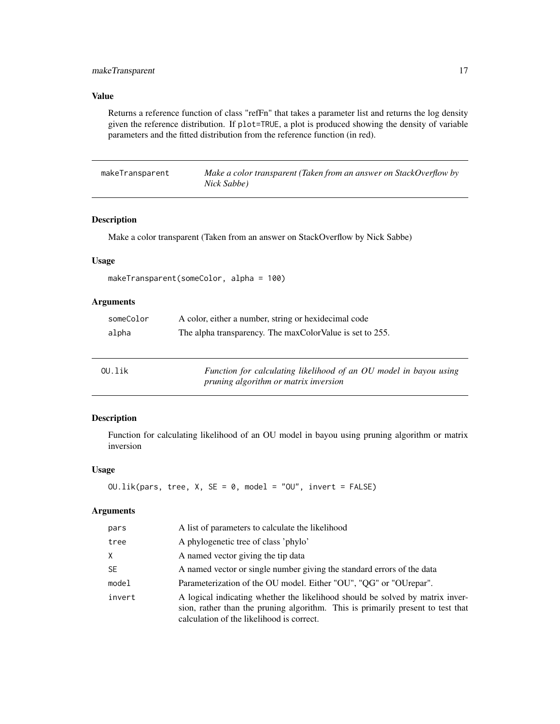# <span id="page-16-0"></span>Value

Returns a reference function of class "refFn" that takes a parameter list and returns the log density given the reference distribution. If plot=TRUE, a plot is produced showing the density of variable parameters and the fitted distribution from the reference function (in red).

| makeTransparent | Make a color transparent (Taken from an answer on StackOverflow by |
|-----------------|--------------------------------------------------------------------|
|                 | Nick Sabbe)                                                        |

# Description

Make a color transparent (Taken from an answer on StackOverflow by Nick Sabbe)

# Usage

makeTransparent(someColor, alpha = 100)

# Arguments

| someColor | A color, either a number, string or hexidecimal code     |
|-----------|----------------------------------------------------------|
| alpha     | The alpha transparency. The maxColorValue is set to 255. |

| $0$ U.lik | Function for calculating likelihood of an OU model in bayou using |
|-----------|-------------------------------------------------------------------|
|           | <i>pruning algorithm or matrix inversion</i>                      |

# Description

Function for calculating likelihood of an OU model in bayou using pruning algorithm or matrix inversion

# Usage

```
OU.lik(pars, tree, X, SE = 0, model = "OU", invert = FALSE)
```

| pars   | A list of parameters to calculate the likelihood                                                                                                                                                              |
|--------|---------------------------------------------------------------------------------------------------------------------------------------------------------------------------------------------------------------|
| tree   | A phylogenetic tree of class 'phylo'                                                                                                                                                                          |
| X.     | A named vector giving the tip data                                                                                                                                                                            |
| SE.    | A named vector or single number giving the standard errors of the data                                                                                                                                        |
| model  | Parameterization of the OU model. Either "OU", "QG" or "OUrepar".                                                                                                                                             |
| invert | A logical indicating whether the likelihood should be solved by matrix inver-<br>sion, rather than the pruning algorithm. This is primarily present to test that<br>calculation of the likelihood is correct. |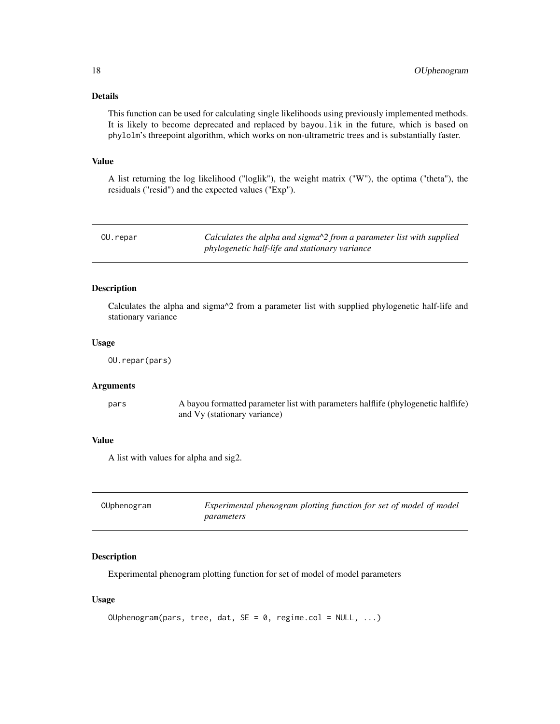### Details

This function can be used for calculating single likelihoods using previously implemented methods. It is likely to become deprecated and replaced by bayou.lik in the future, which is based on phylolm's threepoint algorithm, which works on non-ultrametric trees and is substantially faster.

### Value

A list returning the log likelihood ("loglik"), the weight matrix ("W"), the optima ("theta"), the residuals ("resid") and the expected values ("Exp").

OU.repar *Calculates the alpha and sigma^2 from a parameter list with supplied phylogenetic half-life and stationary variance*

#### Description

Calculates the alpha and sigma^2 from a parameter list with supplied phylogenetic half-life and stationary variance

#### Usage

```
OU.repar(pars)
```
### Arguments

pars A bayou formatted parameter list with parameters halflife (phylogenetic halflife) and Vy (stationary variance)

# Value

A list with values for alpha and sig2.

| OUphenogram | Experimental phenogram plotting function for set of model of model |
|-------------|--------------------------------------------------------------------|
|             | parameters                                                         |

#### Description

Experimental phenogram plotting function for set of model of model parameters

#### Usage

```
OUphenogram(pars, tree, dat, SE = 0, regime.col = NULL, ...)
```
<span id="page-17-0"></span>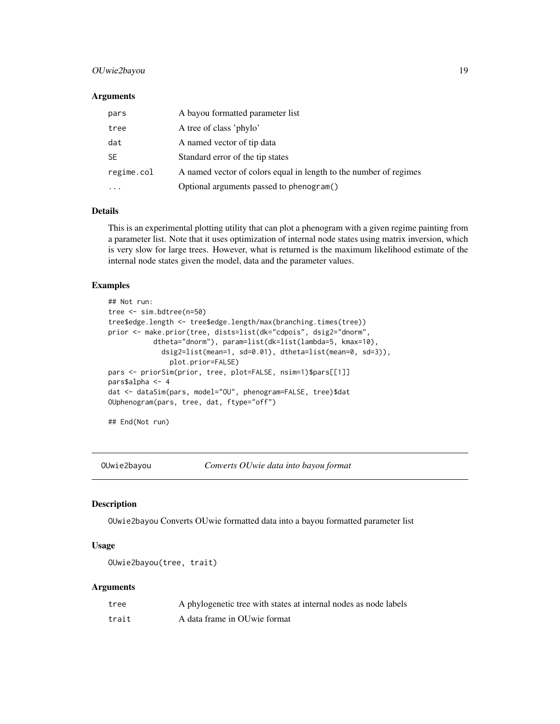# <span id="page-18-0"></span>OUwie2bayou 19

#### Arguments

| pars       | A bayou formatted parameter list                                  |
|------------|-------------------------------------------------------------------|
| tree       | A tree of class 'phylo'                                           |
| dat        | A named vector of tip data                                        |
| <b>SE</b>  | Standard error of the tip states                                  |
| regime.col | A named vector of colors equal in length to the number of regimes |
|            | Optional arguments passed to phenogram()                          |

# Details

This is an experimental plotting utility that can plot a phenogram with a given regime painting from a parameter list. Note that it uses optimization of internal node states using matrix inversion, which is very slow for large trees. However, what is returned is the maximum likelihood estimate of the internal node states given the model, data and the parameter values.

#### Examples

```
## Not run:
tree <- sim.bdtree(n=50)
tree$edge.length <- tree$edge.length/max(branching.times(tree))
prior <- make.prior(tree, dists=list(dk="cdpois", dsig2="dnorm",
           dtheta="dnorm"), param=list(dk=list(lambda=5, kmax=10),
             dsig2=list(mean=1, sd=0.01), dtheta=list(mean=0, sd=3)),
               plot.prior=FALSE)
pars <- priorSim(prior, tree, plot=FALSE, nsim=1)$pars[[1]]
pars$alpha <- 4
dat <- dataSim(pars, model="OU", phenogram=FALSE, tree)$dat
OUphenogram(pars, tree, dat, ftype="off")
```
## End(Not run)

OUwie2bayou *Converts OUwie data into bayou format*

#### Description

OUwie2bayou Converts OUwie formatted data into a bayou formatted parameter list

# Usage

```
OUwie2bayou(tree, trait)
```

| tree  | A phylogenetic tree with states at internal nodes as node labels |
|-------|------------------------------------------------------------------|
| trait | A data frame in OU wie format                                    |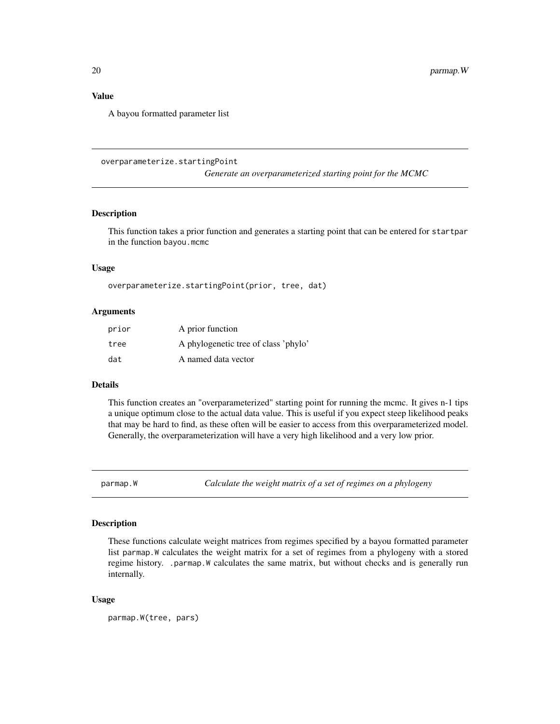# <span id="page-19-0"></span>Value

A bayou formatted parameter list

overparameterize.startingPoint

*Generate an overparameterized starting point for the MCMC*

#### Description

This function takes a prior function and generates a starting point that can be entered for startpar in the function bayou.mcmc

#### Usage

overparameterize.startingPoint(prior, tree, dat)

#### Arguments

| prior | A prior function                     |
|-------|--------------------------------------|
| tree  | A phylogenetic tree of class 'phylo' |
| dat   | A named data vector                  |

# Details

This function creates an "overparameterized" starting point for running the mcmc. It gives n-1 tips a unique optimum close to the actual data value. This is useful if you expect steep likelihood peaks that may be hard to find, as these often will be easier to access from this overparameterized model. Generally, the overparameterization will have a very high likelihood and a very low prior.

parmap.W *Calculate the weight matrix of a set of regimes on a phylogeny*

#### Description

These functions calculate weight matrices from regimes specified by a bayou formatted parameter list parmap.W calculates the weight matrix for a set of regimes from a phylogeny with a stored regime history. .parmap.W calculates the same matrix, but without checks and is generally run internally.

#### Usage

parmap.W(tree, pars)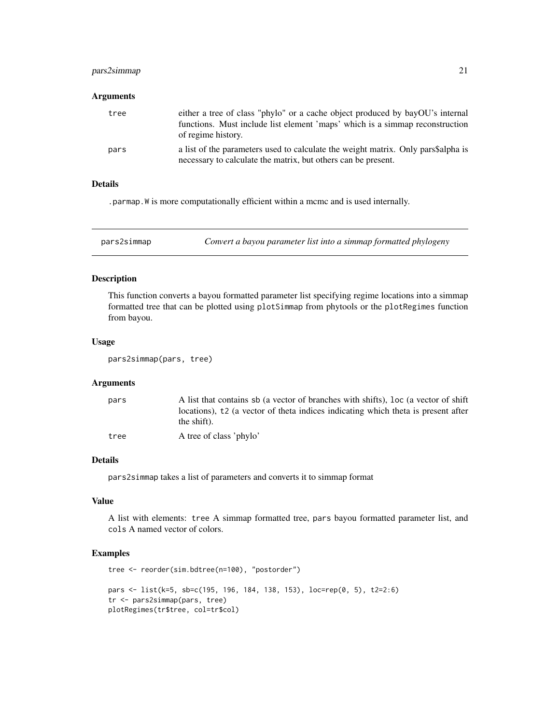# <span id="page-20-0"></span>pars2simmap 21

# Arguments

| tree | either a tree of class "phylo" or a cache object produced by bayOU's internal<br>functions. Must include list element 'maps' which is a simmap reconstruction<br>of regime history. |
|------|-------------------------------------------------------------------------------------------------------------------------------------------------------------------------------------|
| pars | a list of the parameters used to calculate the weight matrix. Only pars\$alpha is<br>necessary to calculate the matrix, but others can be present.                                  |

# Details

.parmap.W is more computationally efficient within a mcmc and is used internally.

pars2simmap *Convert a bayou parameter list into a simmap formatted phylogeny*

# Description

This function converts a bayou formatted parameter list specifying regime locations into a simmap formatted tree that can be plotted using plotSimmap from phytools or the plotRegimes function from bayou.

#### Usage

```
pars2simmap(pars, tree)
```
# Arguments

| pars | A list that contains sb (a vector of branches with shifts), loc (a vector of shift            |
|------|-----------------------------------------------------------------------------------------------|
|      | locations), t <sub>2</sub> (a vector of theta indices indicating which theta is present after |
|      | the shift).                                                                                   |
| tree | A tree of class 'phylo'                                                                       |

# Details

pars2simmap takes a list of parameters and converts it to simmap format

# Value

A list with elements: tree A simmap formatted tree, pars bayou formatted parameter list, and cols A named vector of colors.

# Examples

```
tree <- reorder(sim.bdtree(n=100), "postorder")
pars <- list(k=5, sb=c(195, 196, 184, 138, 153), loc=rep(0, 5), t2=2:6)
tr <- pars2simmap(pars, tree)
plotRegimes(tr$tree, col=tr$col)
```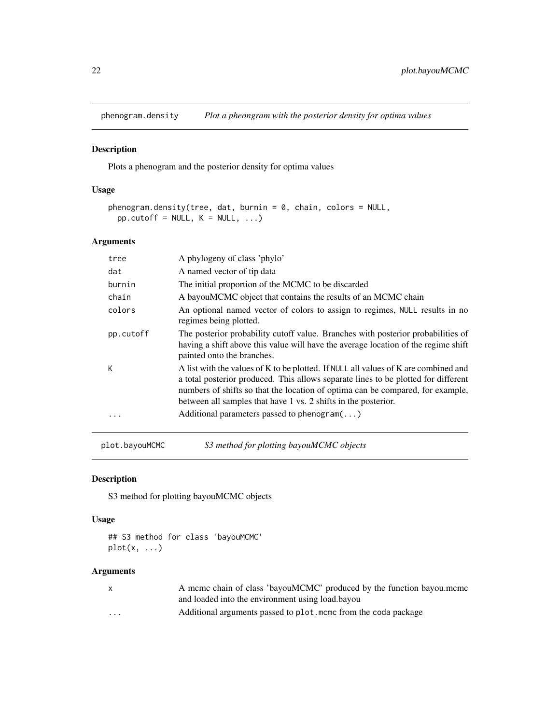<span id="page-21-0"></span>phenogram.density *Plot a pheongram with the posterior density for optima values*

# Description

Plots a phenogram and the posterior density for optima values

# Usage

```
phenogram.density(tree, dat, burnin = 0, chain, colors = NULL,
 pp.cutoff = NULL, K = NULL, ...)
```
# Arguments

| tree      | A phylogeny of class 'phylo'                                                                                                                                                                                                                                                                                                  |
|-----------|-------------------------------------------------------------------------------------------------------------------------------------------------------------------------------------------------------------------------------------------------------------------------------------------------------------------------------|
| dat       | A named vector of tip data                                                                                                                                                                                                                                                                                                    |
| burnin    | The initial proportion of the MCMC to be discarded                                                                                                                                                                                                                                                                            |
| chain     | A bayouMCMC object that contains the results of an MCMC chain                                                                                                                                                                                                                                                                 |
| colors    | An optional named vector of colors to assign to regimes, NULL results in no<br>regimes being plotted.                                                                                                                                                                                                                         |
| pp.cutoff | The posterior probability cutoff value. Branches with posterior probabilities of<br>having a shift above this value will have the average location of the regime shift<br>painted onto the branches.                                                                                                                          |
| К         | A list with the values of K to be plotted. If NULL all values of K are combined and<br>a total posterior produced. This allows separate lines to be plotted for different<br>numbers of shifts so that the location of optima can be compared, for example,<br>between all samples that have 1 vs. 2 shifts in the posterior. |
| .         | Additional parameters passed to phenogram $(\dots)$                                                                                                                                                                                                                                                                           |
|           |                                                                                                                                                                                                                                                                                                                               |

plot.bayouMCMC *S3 method for plotting bayouMCMC objects*

# Description

S3 method for plotting bayouMCMC objects

#### Usage

```
## S3 method for class 'bayouMCMC'
plot(x, ...)
```

|                         | A meme chain of class 'bayouMCMC' produced by the function bayou.meme |
|-------------------------|-----------------------------------------------------------------------|
|                         | and loaded into the environment using load bayou                      |
| $\cdot$ $\cdot$ $\cdot$ | Additional arguments passed to plot, mome from the coda package       |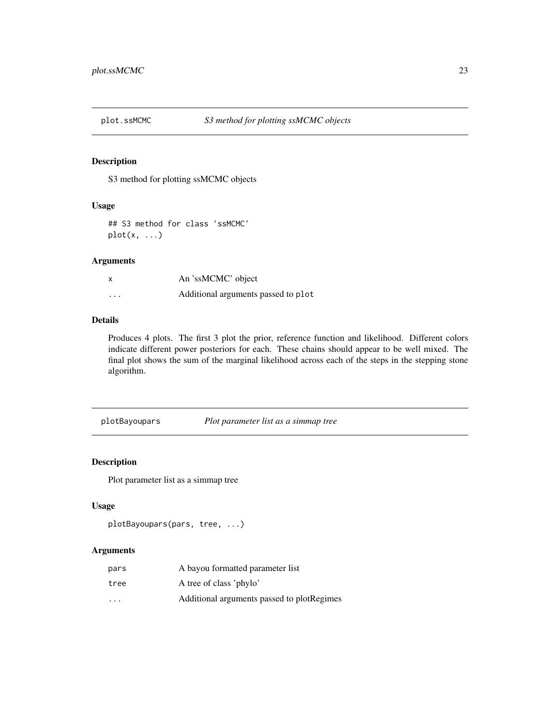<span id="page-22-0"></span>

S3 method for plotting ssMCMC objects

# Usage

## S3 method for class 'ssMCMC'  $plot(x, \ldots)$ 

# Arguments

| x       | An 'ssMCMC' object                  |
|---------|-------------------------------------|
| $\cdot$ | Additional arguments passed to plot |

# Details

Produces 4 plots. The first 3 plot the prior, reference function and likelihood. Different colors indicate different power posteriors for each. These chains should appear to be well mixed. The final plot shows the sum of the marginal likelihood across each of the steps in the stepping stone algorithm.

plotBayoupars *Plot parameter list as a simmap tree*

# Description

Plot parameter list as a simmap tree

#### Usage

```
plotBayoupars(pars, tree, ...)
```

| pars | A bayou formatted parameter list           |
|------|--------------------------------------------|
| tree | A tree of class 'phylo'                    |
| .    | Additional arguments passed to plotRegimes |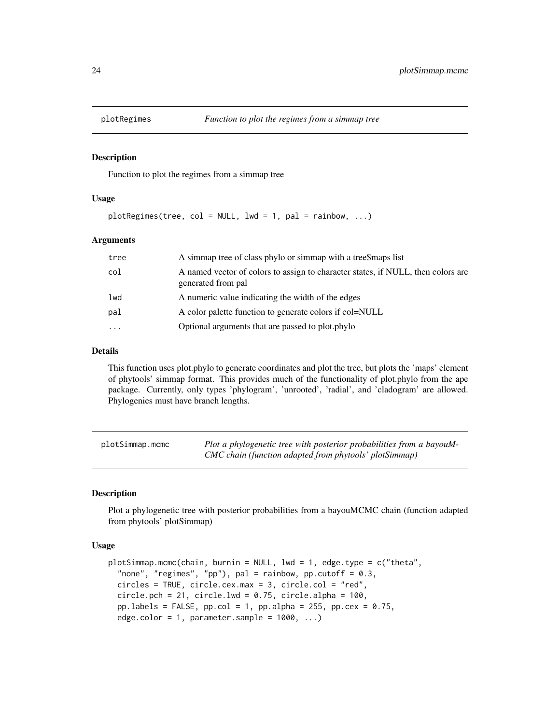<span id="page-23-0"></span>

Function to plot the regimes from a simmap tree

#### Usage

plotRegimes(tree, col = NULL, lwd = 1, pal = rainbow, ...)

# Arguments

| tree     | A simmap tree of class phylo or simmap with a tree\$maps list                                          |
|----------|--------------------------------------------------------------------------------------------------------|
| col      | A named vector of colors to assign to character states, if NULL, then colors are<br>generated from pal |
| lwd      | A numeric value indicating the width of the edges                                                      |
| pal      | A color palette function to generate colors if col=NULL                                                |
| $\cdots$ | Optional arguments that are passed to plot.phylo                                                       |
|          |                                                                                                        |

#### Details

This function uses plot.phylo to generate coordinates and plot the tree, but plots the 'maps' element of phytools' simmap format. This provides much of the functionality of plot.phylo from the ape package. Currently, only types 'phylogram', 'unrooted', 'radial', and 'cladogram' are allowed. Phylogenies must have branch lengths.

| plotSimmap.mcmc | Plot a phylogenetic tree with posterior probabilities from a bayouM- |
|-----------------|----------------------------------------------------------------------|
|                 | CMC chain (function adapted from phytools' plotSimmap)               |

# Description

Plot a phylogenetic tree with posterior probabilities from a bayouMCMC chain (function adapted from phytools' plotSimmap)

# Usage

```
plotSimmap.mcmc(chain, burnin = NULL, lwd = 1, edge.type = c("theta",
  "none", "regimes", "pp"), pal = rainbow, pp.cutoff = 0.3,
  circles = TRUE, circle.cex.max = 3, circle.col = "red",
  circle.pch = 21, circle.lwd = 0.75, circle.alpha = 100,
 pp.labels = FALSE, pp.col = 1, pp.alpha = 255, pp.cex = 0.75,
  edge.color = 1, parameter.sample = 1000, ...)
```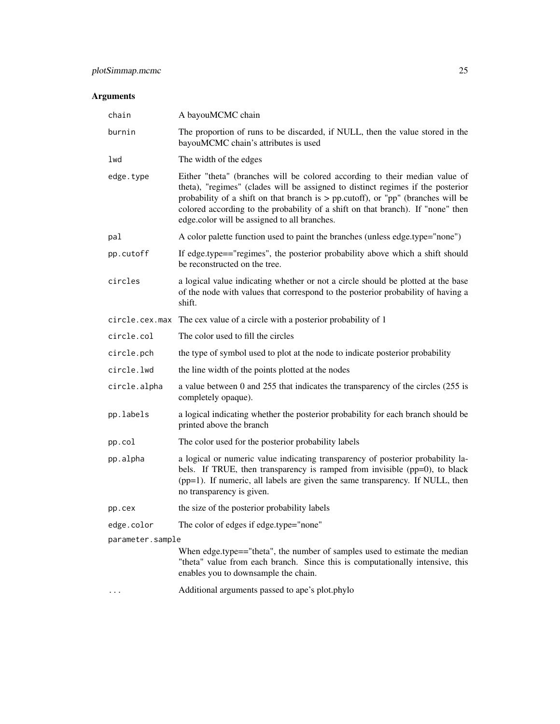# Arguments

| chain            | A bayouMCMC chain                                                                                                                                                                                                                                                                                                                                                                       |
|------------------|-----------------------------------------------------------------------------------------------------------------------------------------------------------------------------------------------------------------------------------------------------------------------------------------------------------------------------------------------------------------------------------------|
| burnin           | The proportion of runs to be discarded, if NULL, then the value stored in the<br>bayouMCMC chain's attributes is used                                                                                                                                                                                                                                                                   |
| lwd              | The width of the edges                                                                                                                                                                                                                                                                                                                                                                  |
| edge.type        | Either "theta" (branches will be colored according to their median value of<br>theta), "regimes" (clades will be assigned to distinct regimes if the posterior<br>probability of a shift on that branch is $>$ pp.cutoff), or "pp" (branches will be<br>colored according to the probability of a shift on that branch). If "none" then<br>edge.color will be assigned to all branches. |
| pal              | A color palette function used to paint the branches (unless edge.type="none")                                                                                                                                                                                                                                                                                                           |
| pp.cutoff        | If edge.type=="regimes", the posterior probability above which a shift should<br>be reconstructed on the tree.                                                                                                                                                                                                                                                                          |
| circles          | a logical value indicating whether or not a circle should be plotted at the base<br>of the node with values that correspond to the posterior probability of having a<br>shift.                                                                                                                                                                                                          |
| circle.cex.max   | The cex value of a circle with a posterior probability of 1                                                                                                                                                                                                                                                                                                                             |
| circle.col       | The color used to fill the circles                                                                                                                                                                                                                                                                                                                                                      |
| circle.pch       | the type of symbol used to plot at the node to indicate posterior probability                                                                                                                                                                                                                                                                                                           |
| circle.lwd       | the line width of the points plotted at the nodes                                                                                                                                                                                                                                                                                                                                       |
| circle.alpha     | a value between 0 and 255 that indicates the transparency of the circles (255 is<br>completely opaque).                                                                                                                                                                                                                                                                                 |
| pp.labels        | a logical indicating whether the posterior probability for each branch should be<br>printed above the branch                                                                                                                                                                                                                                                                            |
| pp.col           | The color used for the posterior probability labels                                                                                                                                                                                                                                                                                                                                     |
| pp.alpha         | a logical or numeric value indicating transparency of posterior probability la-<br>bels. If TRUE, then transparency is ramped from invisible (pp=0), to black<br>(pp=1). If numeric, all labels are given the same transparency. If NULL, then<br>no transparency is given.                                                                                                             |
| pp.cex           | the size of the posterior probability labels                                                                                                                                                                                                                                                                                                                                            |
| edge.color       | The color of edges if edge.type="none"                                                                                                                                                                                                                                                                                                                                                  |
| parameter.sample |                                                                                                                                                                                                                                                                                                                                                                                         |
|                  | When edge.type=="theta", the number of samples used to estimate the median<br>"theta" value from each branch. Since this is computationally intensive, this<br>enables you to downsample the chain.                                                                                                                                                                                     |

... Additional arguments passed to ape's plot.phylo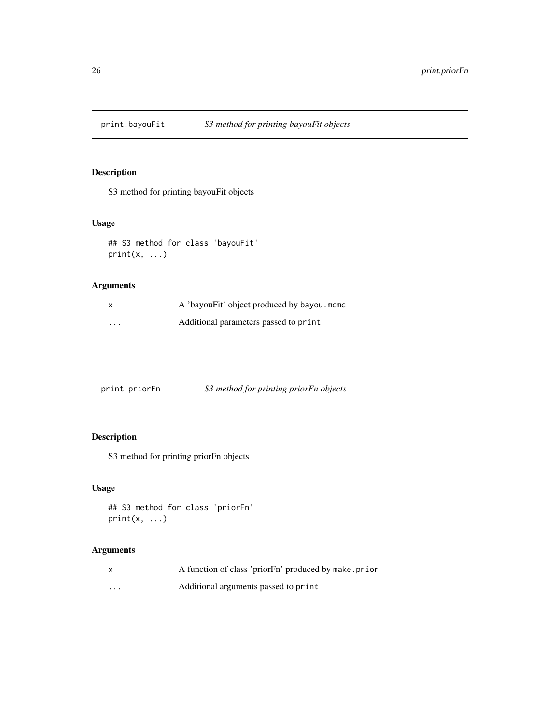<span id="page-25-0"></span>

S3 method for printing bayouFit objects

# Usage

```
## S3 method for class 'bayouFit'
print(x, \ldots)
```
# Arguments

|         | A 'bayouFit' object produced by bayou.mcmc |
|---------|--------------------------------------------|
| $\cdot$ | Additional parameters passed to print      |

| print.priorFn | S3 method for printing priorFn objects |  |  |  |
|---------------|----------------------------------------|--|--|--|
|---------------|----------------------------------------|--|--|--|

# Description

S3 method for printing priorFn objects

# Usage

```
## S3 method for class 'priorFn'
print(x, \ldots)
```

| $\mathsf{x}$ | A function of class 'prior Fn' produced by make.prior |
|--------------|-------------------------------------------------------|
| $\cdots$     | Additional arguments passed to print                  |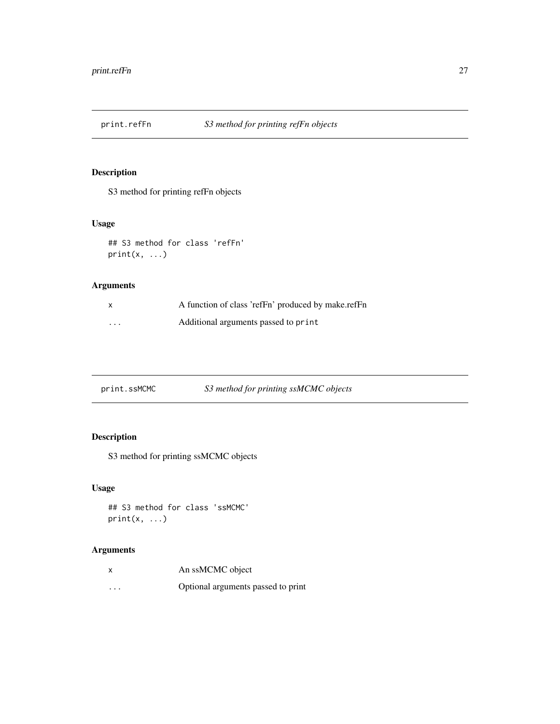<span id="page-26-0"></span>

S3 method for printing refFn objects

# Usage

```
## S3 method for class 'refFn'
print(x, \ldots)
```
# Arguments

|          | A function of class 'refFn' produced by make.refFn |
|----------|----------------------------------------------------|
| $\cdots$ | Additional arguments passed to print               |

| print.ssMCMC | S3 method for printing ssMCMC objects |
|--------------|---------------------------------------|
|--------------|---------------------------------------|

# Description

S3 method for printing ssMCMC objects

# Usage

```
## S3 method for class 'ssMCMC'
print(x, \ldots)
```

| $\boldsymbol{\mathsf{x}}$ | An ssMCMC object                   |
|---------------------------|------------------------------------|
| $\cdots$                  | Optional arguments passed to print |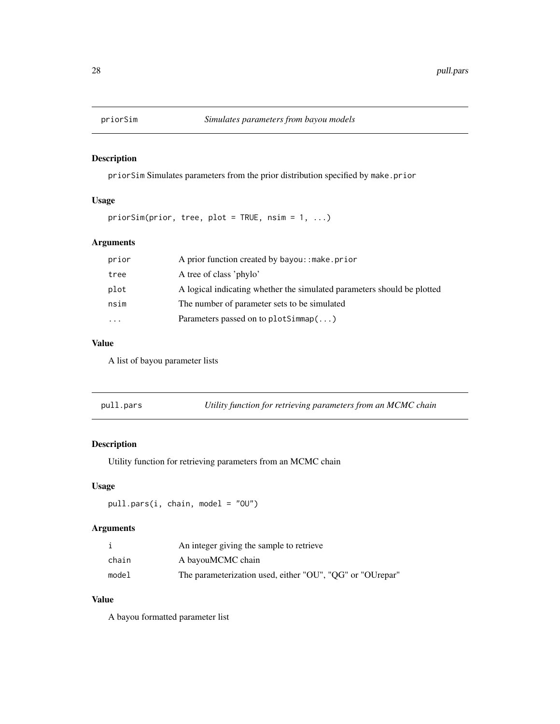<span id="page-27-0"></span>

priorSim Simulates parameters from the prior distribution specified by make.prior

### Usage

```
priorSim(prior, tree, plot = TRUE, nsim = 1, ...)
```
# Arguments

| prior     | A prior function created by bayou: : make.prior                         |
|-----------|-------------------------------------------------------------------------|
| tree      | A tree of class 'phylo'                                                 |
| plot      | A logical indicating whether the simulated parameters should be plotted |
| nsim      | The number of parameter sets to be simulated                            |
| $\ddotsc$ | Parameters passed on to plot Simmap $(\ldots)$                          |

#### Value

A list of bayou parameter lists

pull.pars *Utility function for retrieving parameters from an MCMC chain*

# Description

Utility function for retrieving parameters from an MCMC chain

# Usage

pull.pars(i, chain, model = "OU")

# Arguments

|       | An integer giving the sample to retrieve                  |
|-------|-----------------------------------------------------------|
| chain | A bayouMCMC chain                                         |
| model | The parameterization used, either "OU", "QG" or "OUrepar" |

# Value

A bayou formatted parameter list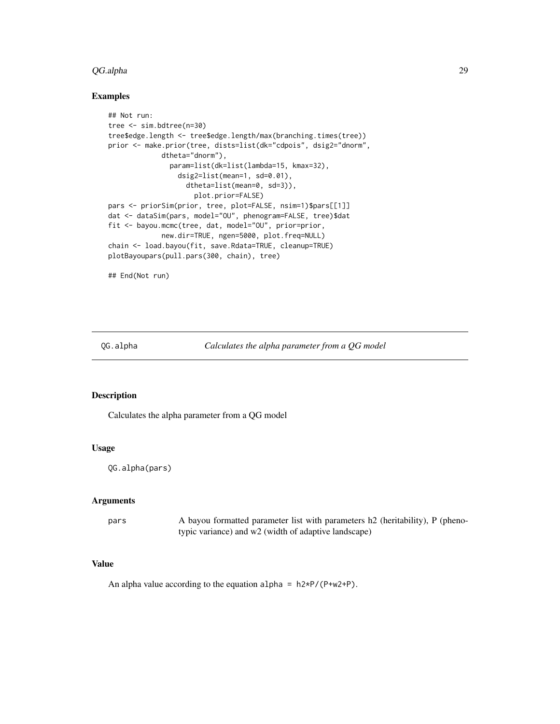#### <span id="page-28-0"></span>QG.alpha 29

#### Examples

```
## Not run:
tree <- sim.bdtree(n=30)
tree$edge.length <- tree$edge.length/max(branching.times(tree))
prior <- make.prior(tree, dists=list(dk="cdpois", dsig2="dnorm",
            dtheta="dnorm"),
              param=list(dk=list(lambda=15, kmax=32),
                 dsig2=list(mean=1, sd=0.01),
                   dtheta=list(mean=0, sd=3)),
                     plot.prior=FALSE)
pars <- priorSim(prior, tree, plot=FALSE, nsim=1)$pars[[1]]
dat <- dataSim(pars, model="OU", phenogram=FALSE, tree)$dat
fit <- bayou.mcmc(tree, dat, model="OU", prior=prior,
             new.dir=TRUE, ngen=5000, plot.freq=NULL)
chain <- load.bayou(fit, save.Rdata=TRUE, cleanup=TRUE)
plotBayoupars(pull.pars(300, chain), tree)
```
## End(Not run)

QG.alpha *Calculates the alpha parameter from a QG model*

#### Description

Calculates the alpha parameter from a QG model

#### Usage

QG.alpha(pars)

#### Arguments

pars A bayou formatted parameter list with parameters h2 (heritability), P (phenotypic variance) and w2 (width of adaptive landscape)

# Value

An alpha value according to the equation alpha =  $h2*P/(P+w2+P)$ .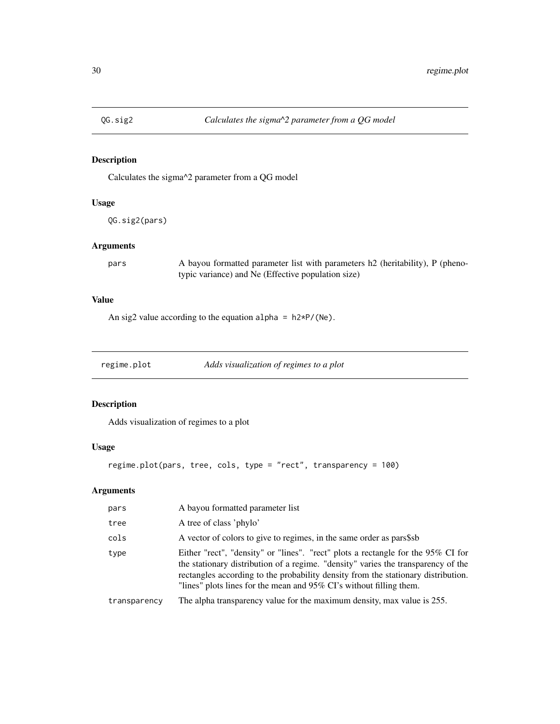<span id="page-29-0"></span>

Calculates the sigma^2 parameter from a QG model

# Usage

QG.sig2(pars)

# Arguments

pars A bayou formatted parameter list with parameters h2 (heritability), P (phenotypic variance) and Ne (Effective population size)

# Value

An sig2 value according to the equation alpha =  $h2*P/(Ne)$ .

regime.plot *Adds visualization of regimes to a plot*

# Description

Adds visualization of regimes to a plot

# Usage

```
regime.plot(pars, tree, cols, type = "rect", transparency = 100)
```

| pars         | A bayou formatted parameter list                                                                                                                                                                                                                                                                                                  |
|--------------|-----------------------------------------------------------------------------------------------------------------------------------------------------------------------------------------------------------------------------------------------------------------------------------------------------------------------------------|
| tree         | A tree of class 'phylo'                                                                                                                                                                                                                                                                                                           |
| cols         | A vector of colors to give to regimes, in the same order as pars\$sb                                                                                                                                                                                                                                                              |
| type         | Either "rect", "density" or "lines". "rect" plots a rectangle for the 95% CI for<br>the stationary distribution of a regime. "density" varies the transparency of the<br>rectangles according to the probability density from the stationary distribution.<br>"lines" plots lines for the mean and 95% CI's without filling them. |
| transparency | The alpha transparency value for the maximum density, max value is 255.                                                                                                                                                                                                                                                           |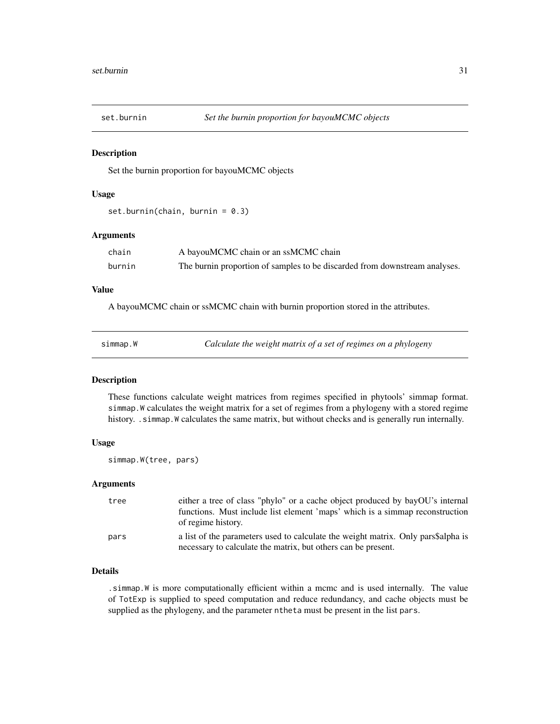<span id="page-30-0"></span>

Set the burnin proportion for bayouMCMC objects

#### Usage

set.burnin(chain, burnin = 0.3)

#### Arguments

| chain  | A bayouMCMC chain or an ssMCMC chain                                       |
|--------|----------------------------------------------------------------------------|
| burnin | The burnin proportion of samples to be discarded from downstream analyses. |

# Value

A bayouMCMC chain or ssMCMC chain with burnin proportion stored in the attributes.

| simmap.W | Calculate the weight matrix of a set of regimes on a phylogeny |
|----------|----------------------------------------------------------------|
|----------|----------------------------------------------------------------|

#### Description

These functions calculate weight matrices from regimes specified in phytools' simmap format. simmap.W calculates the weight matrix for a set of regimes from a phylogeny with a stored regime history. .simmap. W calculates the same matrix, but without checks and is generally run internally.

# Usage

simmap.W(tree, pars)

#### Arguments

| tree | either a tree of class "phylo" or a cache object produced by bayOU's internal<br>functions. Must include list element 'maps' which is a simmap reconstruction<br>of regime history. |
|------|-------------------------------------------------------------------------------------------------------------------------------------------------------------------------------------|
| pars | a list of the parameters used to calculate the weight matrix. Only pars\$alpha is<br>necessary to calculate the matrix, but others can be present.                                  |

# Details

.simmap.W is more computationally efficient within a mcmc and is used internally. The value of TotExp is supplied to speed computation and reduce redundancy, and cache objects must be supplied as the phylogeny, and the parameter ntheta must be present in the list pars.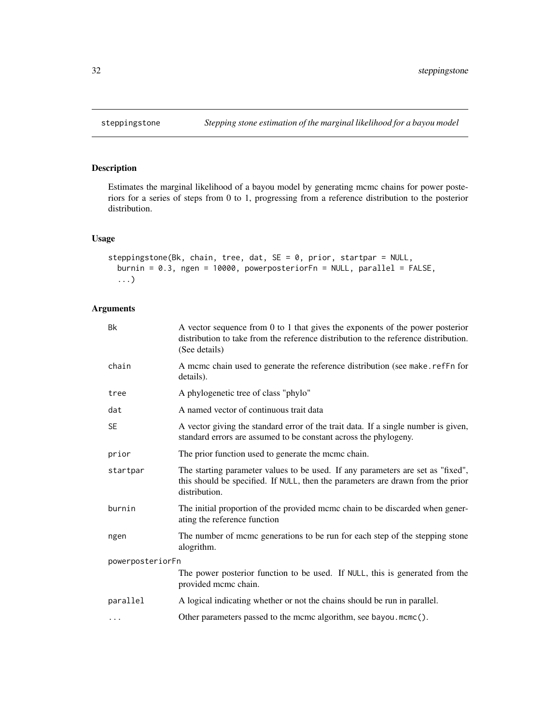Estimates the marginal likelihood of a bayou model by generating mcmc chains for power posteriors for a series of steps from 0 to 1, progressing from a reference distribution to the posterior distribution.

# Usage

```
steppingstone(Bk, chain, tree, dat, SE = 0, prior, startpar = NULL,
 burnin = 0.3, ngen = 10000, powerposteriorFn = NULL, parallel = FALSE,
  ...)
```

| <b>Bk</b>        | A vector sequence from $0$ to 1 that gives the exponents of the power posterior<br>distribution to take from the reference distribution to the reference distribution.<br>(See details) |  |
|------------------|-----------------------------------------------------------------------------------------------------------------------------------------------------------------------------------------|--|
| chain            | A meme chain used to generate the reference distribution (see make.refFn for<br>details).                                                                                               |  |
| tree             | A phylogenetic tree of class "phylo"                                                                                                                                                    |  |
| dat              | A named vector of continuous trait data                                                                                                                                                 |  |
| <b>SE</b>        | A vector giving the standard error of the trait data. If a single number is given,<br>standard errors are assumed to be constant across the phylogeny.                                  |  |
| prior            | The prior function used to generate the mcmc chain.                                                                                                                                     |  |
| startpar         | The starting parameter values to be used. If any parameters are set as "fixed",<br>this should be specified. If NULL, then the parameters are drawn from the prior<br>distribution.     |  |
| burnin           | The initial proportion of the provided mcmc chain to be discarded when gener-<br>ating the reference function                                                                           |  |
| ngen             | The number of mcmc generations to be run for each step of the stepping stone<br>alogrithm.                                                                                              |  |
| powerposteriorFn |                                                                                                                                                                                         |  |
|                  | The power posterior function to be used. If NULL, this is generated from the<br>provided mcmc chain.                                                                                    |  |
| parallel         | A logical indicating whether or not the chains should be run in parallel.                                                                                                               |  |
| $\cdots$         | Other parameters passed to the mcmc algorithm, see bayou.mcmc().                                                                                                                        |  |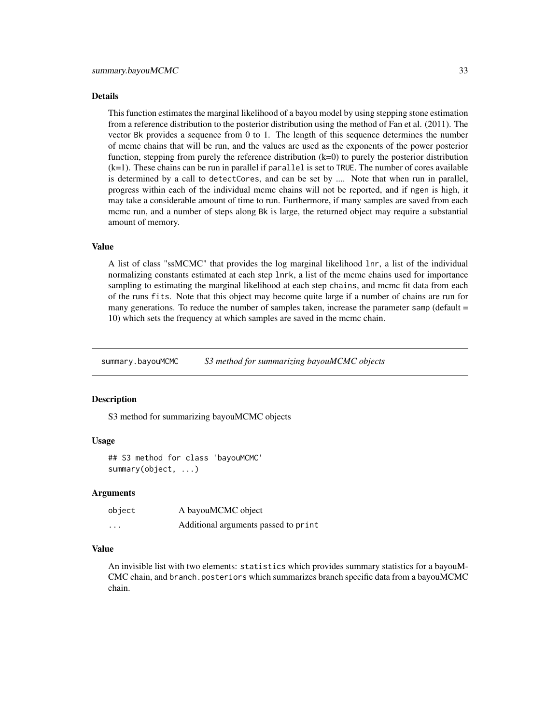#### <span id="page-32-0"></span>Details

This function estimates the marginal likelihood of a bayou model by using stepping stone estimation from a reference distribution to the posterior distribution using the method of Fan et al. (2011). The vector Bk provides a sequence from 0 to 1. The length of this sequence determines the number of mcmc chains that will be run, and the values are used as the exponents of the power posterior function, stepping from purely the reference distribution (k=0) to purely the posterior distribution (k=1). These chains can be run in parallel if parallel is set to TRUE. The number of cores available is determined by a call to detectCores, and can be set by .... Note that when run in parallel, progress within each of the individual mcmc chains will not be reported, and if ngen is high, it may take a considerable amount of time to run. Furthermore, if many samples are saved from each mcmc run, and a number of steps along Bk is large, the returned object may require a substantial amount of memory.

#### Value

A list of class "ssMCMC" that provides the log marginal likelihood lnr, a list of the individual normalizing constants estimated at each step lnrk, a list of the mcmc chains used for importance sampling to estimating the marginal likelihood at each step chains, and mcmc fit data from each of the runs fits. Note that this object may become quite large if a number of chains are run for many generations. To reduce the number of samples taken, increase the parameter samp (default = 10) which sets the frequency at which samples are saved in the mcmc chain.

summary.bayouMCMC *S3 method for summarizing bayouMCMC objects*

#### **Description**

S3 method for summarizing bayouMCMC objects

#### Usage

```
## S3 method for class 'bayouMCMC'
summary(object, ...)
```
#### Arguments

| object | A bayouMCMC object                   |
|--------|--------------------------------------|
| .      | Additional arguments passed to print |

# Value

An invisible list with two elements: statistics which provides summary statistics for a bayouM-CMC chain, and branch.posteriors which summarizes branch specific data from a bayouMCMC chain.